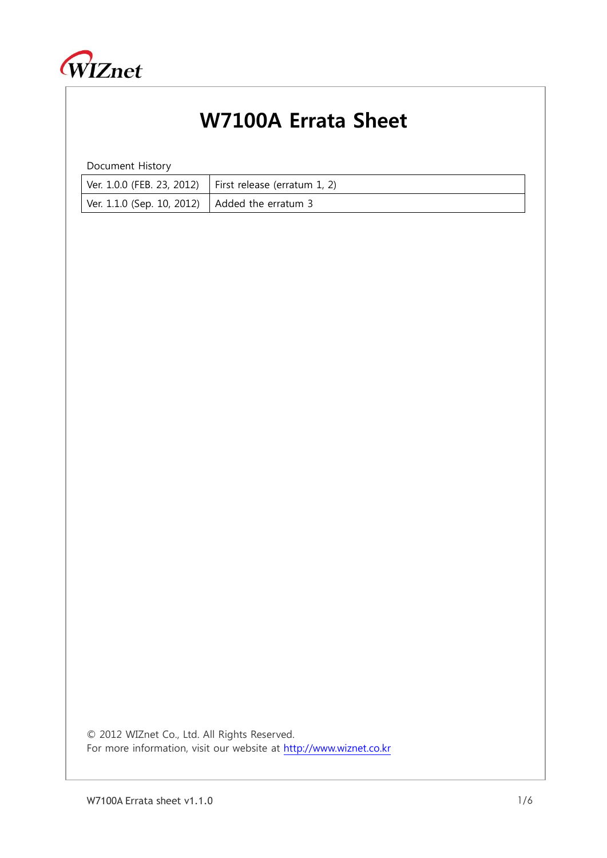

## W7100A Errata Sheet

Document History

|                                                  | Ver. 1.0.0 (FEB. 23, 2012)   First release (erratum 1, 2) |
|--------------------------------------------------|-----------------------------------------------------------|
| Ver. 1.1.0 (Sep. 10, 2012)   Added the erratum 3 |                                                           |

© 2012 WIZnet Co., Ltd. All Rights Reserved. For more information, visit our website at [http://www.wiznet.co.kr](http://www.wiznet.co.kr/)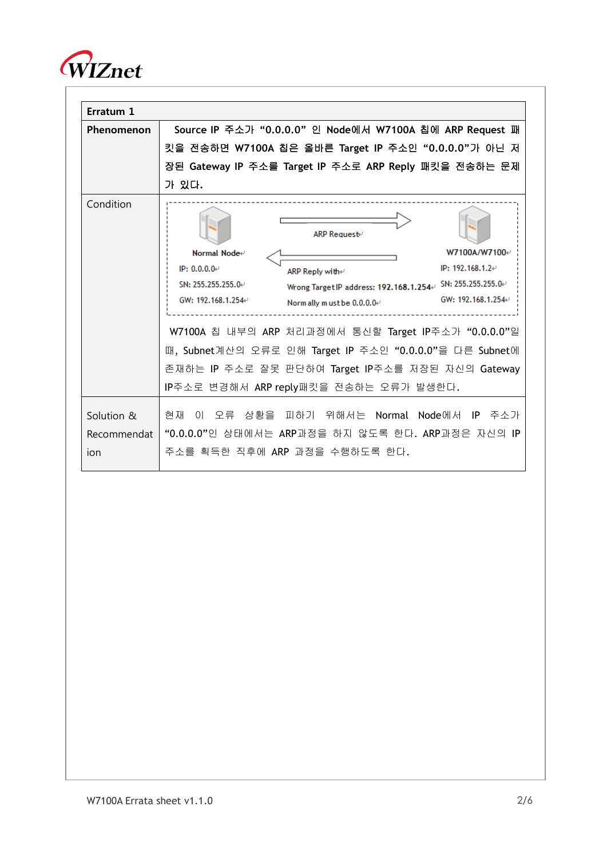

| Erratum 1   |                                                                                                                                                                                                                                                                                                                                                                                                                                                                                                                                                               |  |  |  |  |  |
|-------------|---------------------------------------------------------------------------------------------------------------------------------------------------------------------------------------------------------------------------------------------------------------------------------------------------------------------------------------------------------------------------------------------------------------------------------------------------------------------------------------------------------------------------------------------------------------|--|--|--|--|--|
| Phenomenon  | Source IP 주소가 "0.0.0.0" 인 Node에서 W7100A 칩에 ARP Request 패<br>킷을 전송하면 W7100A 칩은 올바른 Target IP 주소인 "0.0.0.0"가 아닌 저                                                                                                                                                                                                                                                                                                                                                                                                                                               |  |  |  |  |  |
|             |                                                                                                                                                                                                                                                                                                                                                                                                                                                                                                                                                               |  |  |  |  |  |
|             | 장된 Gateway IP 주소를 Target IP 주소로 ARP Reply 패킷을 전송하는 문제                                                                                                                                                                                                                                                                                                                                                                                                                                                                                                         |  |  |  |  |  |
|             | 가 있다.                                                                                                                                                                                                                                                                                                                                                                                                                                                                                                                                                         |  |  |  |  |  |
| Condition   | <b>ARP Request</b> ⊬<br>W7100A/W7100+<br>Normal Node⊬<br>IP: $192.168.1.2 \div$<br>IP: 0.0.0.0.<br>ARP Reply withe<br>Wrong Target IP address: 192.168.1.254 $\scriptstyle\leftrightarrow$ SN: 255.255.255.0 $\scriptstyle\leftrightarrow$<br>SN: 255.255.255.0e<br>GW: 192.168.1.254⊬<br>GW: 192.168.1.254+<br>Norm ally must be $0.0.0.0$ .<br>W7100A 칩 내부의 ARP 처리과정에서 통신할 Target IP주소가 "0.0.0.0"일<br>때, Subnet계산의 오류로 인해 Target IP 주소인 "0.0.0.0"을 다른 Subnet에<br>존재하는 IP 주소로 잘못 판단하여 Target IP주소를 저장된 자신의 Gateway<br>IP주소로 변경해서 ARP reply패킷을 전송하는 오류가 발생한다. |  |  |  |  |  |
|             |                                                                                                                                                                                                                                                                                                                                                                                                                                                                                                                                                               |  |  |  |  |  |
| Solution &  | 현재 이 오류 상황을 피하기 위해서는 Normal Node에서 IP 주소가                                                                                                                                                                                                                                                                                                                                                                                                                                                                                                                     |  |  |  |  |  |
| Recommendat | "0.0.0.0"인 상태에서는 ARP과정을 하지 않도록 한다. ARP과정은 자신의 IP                                                                                                                                                                                                                                                                                                                                                                                                                                                                                                              |  |  |  |  |  |
| ion         | 주소를 획득한 직후에 ARP 과정을 수행하도록 한다.                                                                                                                                                                                                                                                                                                                                                                                                                                                                                                                                 |  |  |  |  |  |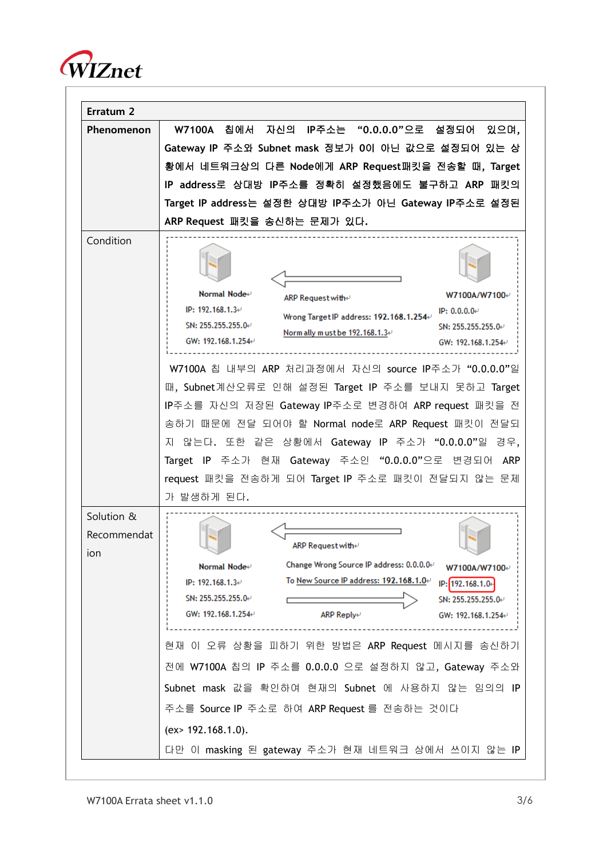

| Erratum <sub>2</sub>             |                                                                                                                                                                                                                                                                                                                                                                                                                                                                                                                                                                                                                                                                              |
|----------------------------------|------------------------------------------------------------------------------------------------------------------------------------------------------------------------------------------------------------------------------------------------------------------------------------------------------------------------------------------------------------------------------------------------------------------------------------------------------------------------------------------------------------------------------------------------------------------------------------------------------------------------------------------------------------------------------|
| Phenomenon                       | W7100A 칩에서 자신의 IP주소는 "0.0.0.0"으로 설정되어 있으며,<br>Gateway IP 주소와 Subnet mask 정보가 0이 아닌 값으로 설정되어 있는 상<br>황에서 네트워크상의 다른 Node에게 ARP Request패킷을 전송할 때, Target<br>IP address로 상대방 IP주소를 정확히 설정했음에도 불구하고 ARP 패킷의<br>Target IP address는 설정한 상대방 IP주소가 아닌 Gateway IP주소로 설정된<br>ARP Request 패킷을 송신하는 문제가 있다.                                                                                                                                                                                                                                                                                                                                                                              |
| Condition                        | Normal Node⊬<br>W7100A/W7100⊬<br>ARP Request with +<br>IP: $192.168.1.3\div$<br>IP: $0.0.0.04$<br>Wrong Target IP address: 192.168.1.254+<br>SN: 255.255.255.0-<br>SN: 255.255.255.0⊬<br>Norm ally must be $192.168.1.3\text{m}$<br>GW: 192.168.1.254<br>GW: 192.168.1.254<br>W7100A 칩 내부의 ARP 처리과정에서 자신의 source IP주소가 "0.0.0.0"일<br>때, Subnet계산오류로 인해 설정된 Target IP 주소를 보내지 못하고 Target<br>IP주소를 자신의 저장된 Gateway IP주소로 변경하여 ARP request 패킷을 전<br>송하기 때문에 전달 되어야 할 Normal node로 ARP Request 패킷이 전달되<br>지 않는다. 또한 같은 상황에서 Gateway IP 주소가 "0.0.0.0"일 경우,<br>Target IP 주소가 현재 Gateway 주소인 "0.0.0.0"으로 변경되어 ARP<br>request 패킷을 전송하게 되어 Target IP 주소로 패킷이 전달되지 않는 문제<br>가 발생하게 된다. |
| Solution &<br>Recommendat<br>ion | ARP Request with⊬<br>Change Wrong Source IP address: 0.0.0.0.<br>Normal Node⊬<br>W7100A/W7100+<br>To New Source IP address: 192.168.1.0₽<br>IP: 192.168.1.3⊬<br>IP: 192.168.1.0-<br>SN: 255.255.255.0⊬<br>SN: 255.255.255.0⊬<br>GW: 192.168.1.254⊬<br><b>ARP Reply</b> ⊬<br>GW: 192.168.1.254⊬<br>현재 이 오류 상황을 피하기 위한 방법은 ARP Request 메시지를 송신하기<br>전에 W7100A 칩의 IP 주소를 0.0.0.0 으로 설정하지 않고, Gateway 주소와<br>Subnet mask 값을 확인하여 현재의 Subnet 에 사용하지 않는 임의의 IP<br>주소를 Source IP 주소로 하여 ARP Request 를 전송하는 것이다<br>(ex > 192.168.1.0).<br>다만 이 masking 된 gateway 주소가 현재 네트워크 상에서 쓰이지 않는 IP                                                                                           |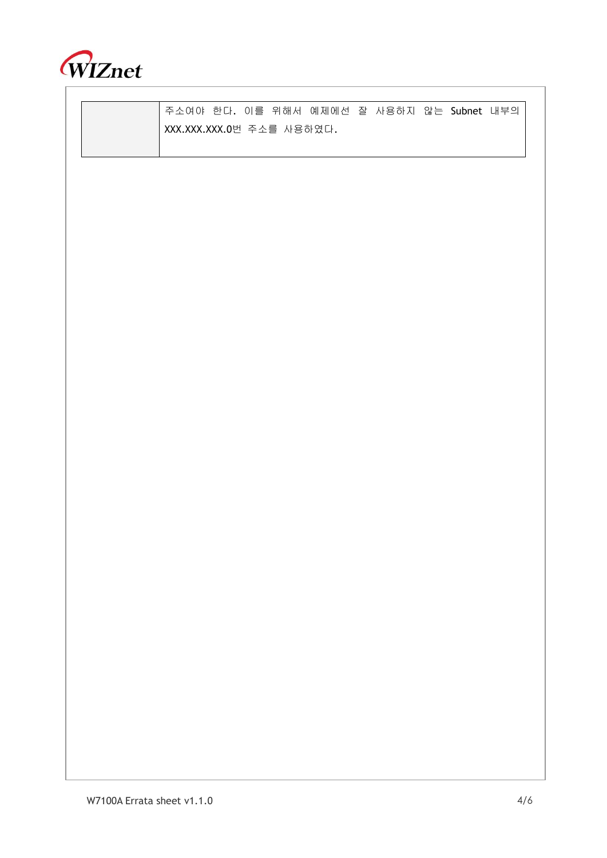

주소여야 한다. 이를 위해서 예제에선 잘 사용하지 않는 Subnet 내부의 XXX.XXX.XXX.0번 주소를 사용하였다.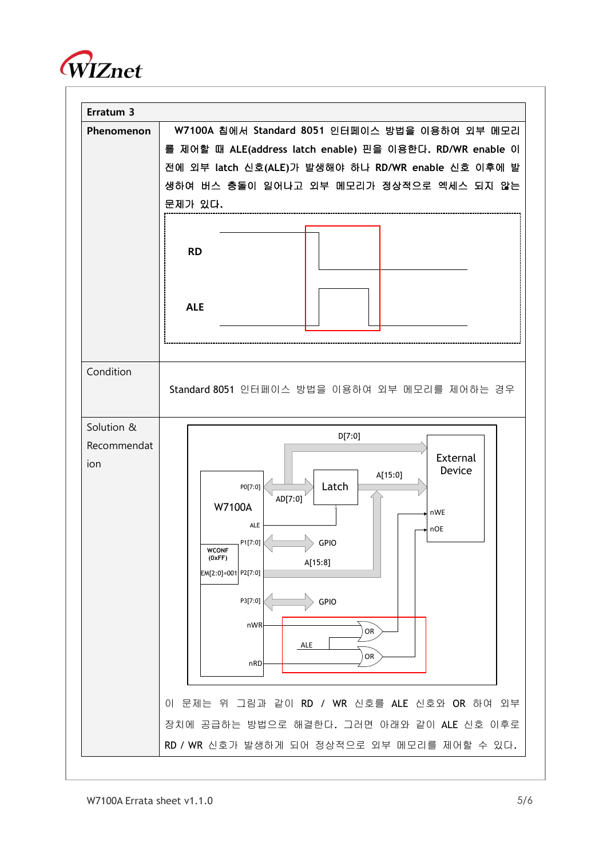